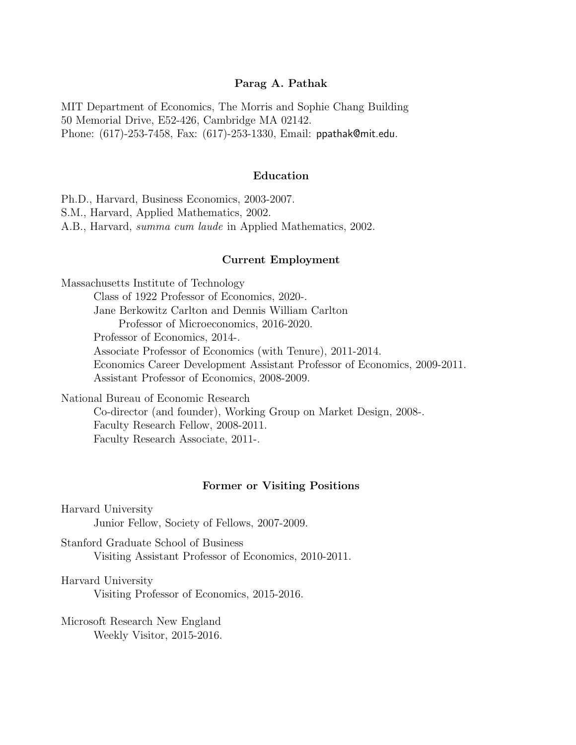#### Parag A. Pathak

MIT Department of Economics, The Morris and Sophie Chang Building 50 Memorial Drive, E52-426, Cambridge MA 02142. Phone: (617)-253-7458, Fax: (617)-253-1330, Email: ppathak@mit.edu.

#### Education

Ph.D., Harvard, Business Economics, 2003-2007.

S.M., Harvard, Applied Mathematics, 2002.

A.B., Harvard, summa cum laude in Applied Mathematics, 2002.

#### Current Employment

Massachusetts Institute of Technology

Class of 1922 Professor of Economics, 2020-.

Jane Berkowitz Carlton and Dennis William Carlton

Professor of Microeconomics, 2016-2020.

Professor of Economics, 2014-.

Associate Professor of Economics (with Tenure), 2011-2014.

Economics Career Development Assistant Professor of Economics, 2009-2011. Assistant Professor of Economics, 2008-2009.

National Bureau of Economic Research Co-director (and founder), Working Group on Market Design, 2008-. Faculty Research Fellow, 2008-2011. Faculty Research Associate, 2011-.

#### Former or Visiting Positions

Harvard University Junior Fellow, Society of Fellows, 2007-2009.

Stanford Graduate School of Business Visiting Assistant Professor of Economics, 2010-2011.

Harvard University

Visiting Professor of Economics, 2015-2016.

Microsoft Research New England Weekly Visitor, 2015-2016.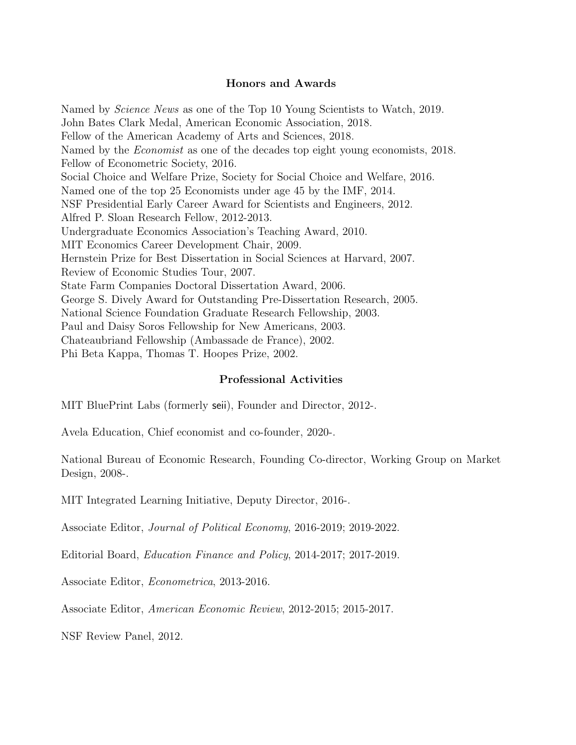## Honors and Awards

Named by *Science News* as one of the Top 10 Young Scientists to Watch, 2019. John Bates Clark Medal, American Economic Association, 2018. Fellow of the American Academy of Arts and Sciences, 2018. Named by the *Economist* as one of the decades top eight young economists, 2018. Fellow of Econometric Society, 2016. Social Choice and Welfare Prize, Society for Social Choice and Welfare, 2016. Named one of the top 25 Economists under age 45 by the IMF, 2014. NSF Presidential Early Career Award for Scientists and Engineers, 2012. Alfred P. Sloan Research Fellow, 2012-2013. Undergraduate Economics Association's Teaching Award, 2010. MIT Economics Career Development Chair, 2009. Hernstein Prize for Best Dissertation in Social Sciences at Harvard, 2007. Review of Economic Studies Tour, 2007. State Farm Companies Doctoral Dissertation Award, 2006. George S. Dively Award for Outstanding Pre-Dissertation Research, 2005. National Science Foundation Graduate Research Fellowship, 2003. Paul and Daisy Soros Fellowship for New Americans, 2003. Chateaubriand Fellowship (Ambassade de France), 2002. Phi Beta Kappa, Thomas T. Hoopes Prize, 2002.

### Professional Activities

MIT BluePrint Labs (formerly seii), Founder and Director, 2012-.

Avela Education, Chief economist and co-founder, 2020-.

National Bureau of Economic Research, Founding Co-director, Working Group on Market Design, 2008-.

MIT Integrated Learning Initiative, Deputy Director, 2016-.

Associate Editor, Journal of Political Economy, 2016-2019; 2019-2022.

Editorial Board, Education Finance and Policy, 2014-2017; 2017-2019.

Associate Editor, Econometrica, 2013-2016.

Associate Editor, American Economic Review, 2012-2015; 2015-2017.

NSF Review Panel, 2012.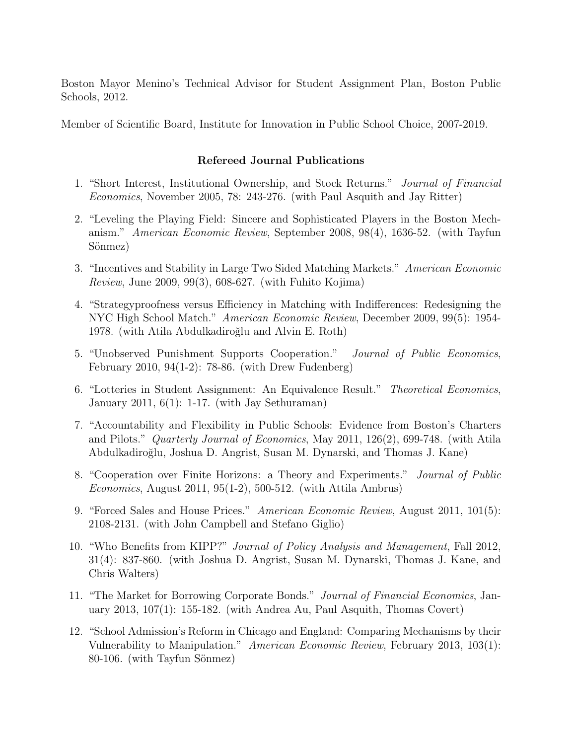Boston Mayor Menino's Technical Advisor for Student Assignment Plan, Boston Public Schools, 2012.

Member of Scientific Board, Institute for Innovation in Public School Choice, 2007-2019.

## Refereed Journal Publications

- 1. "Short Interest, Institutional Ownership, and Stock Returns." Journal of Financial Economics, November 2005, 78: 243-276. (with Paul Asquith and Jay Ritter)
- 2. "Leveling the Playing Field: Sincere and Sophisticated Players in the Boston Mechanism." American Economic Review, September 2008, 98(4), 1636-52. (with Tayfun Sönmez)
- 3. "Incentives and Stability in Large Two Sided Matching Markets." American Economic Review, June 2009, 99(3), 608-627. (with Fuhito Kojima)
- 4. "Strategyproofness versus Efficiency in Matching with Indifferences: Redesigning the NYC High School Match." American Economic Review, December 2009, 99(5): 1954- 1978. (with Atila Abdulkadiroğlu and Alvin E. Roth)
- 5. "Unobserved Punishment Supports Cooperation." Journal of Public Economics, February 2010, 94(1-2): 78-86. (with Drew Fudenberg)
- 6. "Lotteries in Student Assignment: An Equivalence Result." Theoretical Economics, January 2011, 6(1): 1-17. (with Jay Sethuraman)
- 7. "Accountability and Flexibility in Public Schools: Evidence from Boston's Charters and Pilots." Quarterly Journal of Economics, May 2011, 126(2), 699-748. (with Atila Abdulkadiro˘glu, Joshua D. Angrist, Susan M. Dynarski, and Thomas J. Kane)
- 8. "Cooperation over Finite Horizons: a Theory and Experiments." Journal of Public Economics, August 2011, 95(1-2), 500-512. (with Attila Ambrus)
- 9. "Forced Sales and House Prices." American Economic Review, August 2011, 101(5): 2108-2131. (with John Campbell and Stefano Giglio)
- 10. "Who Benefits from KIPP?" Journal of Policy Analysis and Management, Fall 2012, 31(4): 837-860. (with Joshua D. Angrist, Susan M. Dynarski, Thomas J. Kane, and Chris Walters)
- 11. "The Market for Borrowing Corporate Bonds." Journal of Financial Economics, January 2013, 107(1): 155-182. (with Andrea Au, Paul Asquith, Thomas Covert)
- 12. "School Admission's Reform in Chicago and England: Comparing Mechanisms by their Vulnerability to Manipulation." American Economic Review, February 2013, 103(1):  $80-106.$  (with Tayfun Sönmez)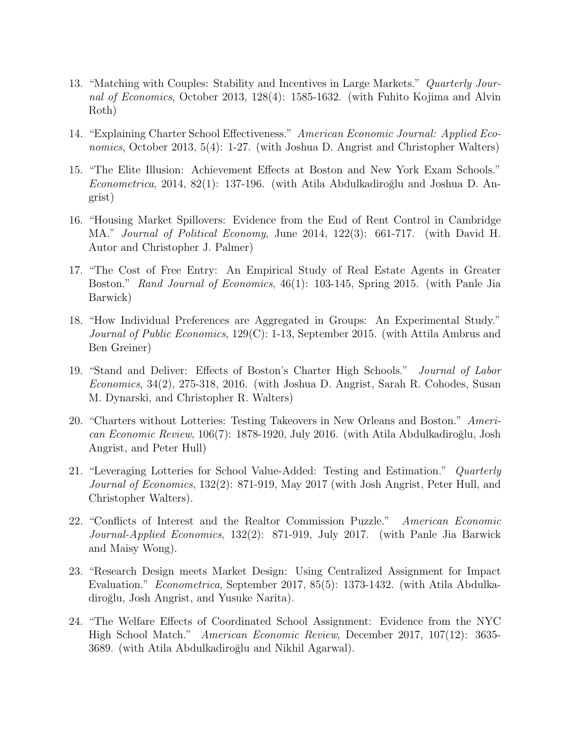- 13. "Matching with Couples: Stability and Incentives in Large Markets." Quarterly Journal of Economics, October 2013, 128(4): 1585-1632. (with Fuhito Kojima and Alvin Roth)
- 14. "Explaining Charter School Effectiveness." American Economic Journal: Applied Economics, October 2013, 5(4): 1-27. (with Joshua D. Angrist and Christopher Walters)
- 15. "The Elite Illusion: Achievement Effects at Boston and New York Exam Schools." Econometrica, 2014, 82(1): 137-196. (with Atila Abdulkadiroğlu and Joshua D. Angrist)
- 16. "Housing Market Spillovers: Evidence from the End of Rent Control in Cambridge MA." Journal of Political Economy, June 2014, 122(3): 661-717. (with David H. Autor and Christopher J. Palmer)
- 17. "The Cost of Free Entry: An Empirical Study of Real Estate Agents in Greater Boston." Rand Journal of Economics, 46(1): 103-145, Spring 2015. (with Panle Jia Barwick)
- 18. "How Individual Preferences are Aggregated in Groups: An Experimental Study." Journal of Public Economics, 129(C): 1-13, September 2015. (with Attila Ambrus and Ben Greiner)
- 19. "Stand and Deliver: Effects of Boston's Charter High Schools." Journal of Labor Economics, 34(2), 275-318, 2016. (with Joshua D. Angrist, Sarah R. Cohodes, Susan M. Dynarski, and Christopher R. Walters)
- 20. "Charters without Lotteries: Testing Takeovers in New Orleans and Boston." American Economic Review, 106(7): 1878-1920, July 2016. (with Atila Abdulkadiroğlu, Josh Angrist, and Peter Hull)
- 21. "Leveraging Lotteries for School Value-Added: Testing and Estimation." Quarterly Journal of Economics, 132(2): 871-919, May 2017 (with Josh Angrist, Peter Hull, and Christopher Walters).
- 22. "Conflicts of Interest and the Realtor Commission Puzzle." American Economic Journal-Applied Economics, 132(2): 871-919, July 2017. (with Panle Jia Barwick and Maisy Wong).
- 23. "Research Design meets Market Design: Using Centralized Assignment for Impact Evaluation." Econometrica, September 2017, 85(5): 1373-1432. (with Atila Abdulkadiroğlu, Josh Angrist, and Yusuke Narita).
- 24. "The Welfare Effects of Coordinated School Assignment: Evidence from the NYC High School Match." American Economic Review, December 2017, 107(12): 3635- 3689. (with Atila Abdulkadiroğlu and Nikhil Agarwal).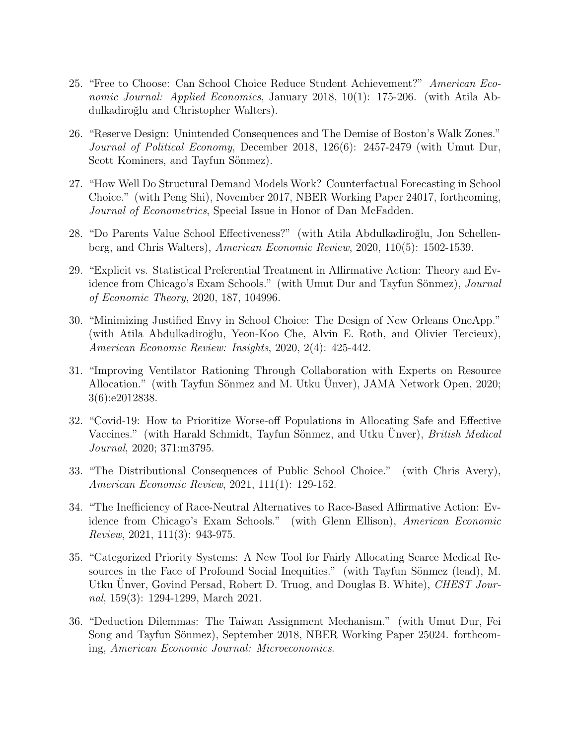- 25. "Free to Choose: Can School Choice Reduce Student Achievement?" American Economic Journal: Applied Economics, January 2018, 10(1): 175-206. (with Atila Abdulkadiroğlu and Christopher Walters).
- 26. "Reserve Design: Unintended Consequences and The Demise of Boston's Walk Zones." Journal of Political Economy, December 2018, 126(6): 2457-2479 (with Umut Dur, Scott Kominers, and Tayfun Sönmez).
- 27. "How Well Do Structural Demand Models Work? Counterfactual Forecasting in School Choice." (with Peng Shi), November 2017, NBER Working Paper 24017, forthcoming, Journal of Econometrics, Special Issue in Honor of Dan McFadden.
- 28. "Do Parents Value School Effectiveness?" (with Atila Abdulkadiroğlu, Jon Schellenberg, and Chris Walters), American Economic Review, 2020, 110(5): 1502-1539.
- 29. "Explicit vs. Statistical Preferential Treatment in Affirmative Action: Theory and Evidence from Chicago's Exam Schools." (with Umut Dur and Tayfun Sönmez), *Journal* of Economic Theory, 2020, 187, 104996.
- 30. "Minimizing Justified Envy in School Choice: The Design of New Orleans OneApp." (with Atila Abdulkadiro˘glu, Yeon-Koo Che, Alvin E. Roth, and Olivier Tercieux), American Economic Review: Insights, 2020, 2(4): 425-442.
- 31. "Improving Ventilator Rationing Through Collaboration with Experts on Resource Allocation." (with Tayfun Sönmez and M. Utku Unver), JAMA Network Open, 2020; 3(6):e2012838.
- 32. "Covid-19: How to Prioritize Worse-off Populations in Allocating Safe and Effective Vaccines." (with Harald Schmidt, Tayfun Sönmez, and Utku Unver), *British Medical* Journal, 2020; 371:m3795.
- 33. "The Distributional Consequences of Public School Choice." (with Chris Avery), American Economic Review, 2021, 111(1): 129-152.
- 34. "The Inefficiency of Race-Neutral Alternatives to Race-Based Affirmative Action: Evidence from Chicago's Exam Schools." (with Glenn Ellison), American Economic Review, 2021, 111(3): 943-975.
- 35. "Categorized Priority Systems: A New Tool for Fairly Allocating Scarce Medical Resources in the Face of Profound Social Inequities." (with Tayfun Sönmez (lead), M. Utku Unver, Govind Persad, Robert D. Truog, and Douglas B. White), CHEST Journal, 159(3): 1294-1299, March 2021.
- 36. "Deduction Dilemmas: The Taiwan Assignment Mechanism." (with Umut Dur, Fei Song and Tayfun Sönmez), September 2018, NBER Working Paper 25024. forthcoming, American Economic Journal: Microeconomics.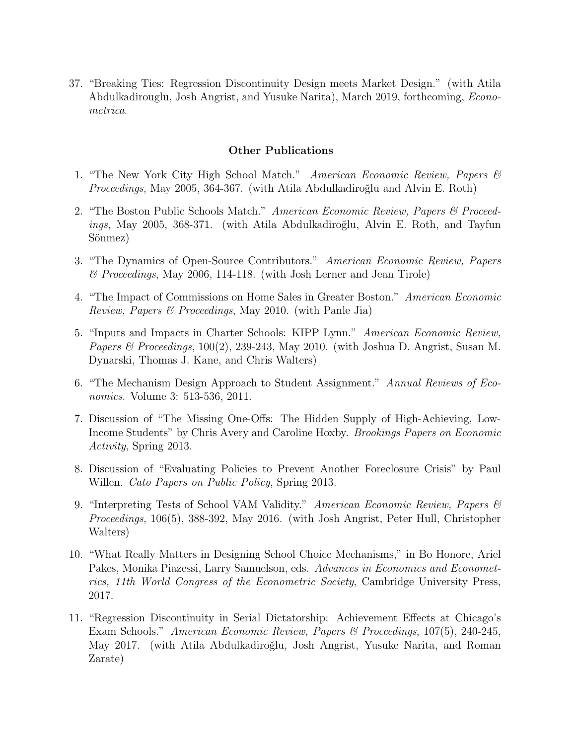37. "Breaking Ties: Regression Discontinuity Design meets Market Design." (with Atila Abdulkadirouglu, Josh Angrist, and Yusuke Narita), March 2019, forthcoming, Econometrica.

## Other Publications

- 1. "The New York City High School Match." American Economic Review, Papers & Proceedings, May 2005, 364-367. (with Atila Abdulkadiroğlu and Alvin E. Roth)
- 2. "The Boston Public Schools Match." American Economic Review, Papers & Proceed $i$ ngs, May 2005, 368-371. (with Atila Abdulkadiroğlu, Alvin E. Roth, and Tayfun Sönmez)
- 3. "The Dynamics of Open-Source Contributors." American Economic Review, Papers & Proceedings, May 2006, 114-118. (with Josh Lerner and Jean Tirole)
- 4. "The Impact of Commissions on Home Sales in Greater Boston." American Economic Review, Papers & Proceedings, May 2010. (with Panle Jia)
- 5. "Inputs and Impacts in Charter Schools: KIPP Lynn." American Economic Review, Papers & Proceedings,  $100(2)$ , 239-243, May 2010. (with Joshua D. Angrist, Susan M. Dynarski, Thomas J. Kane, and Chris Walters)
- 6. "The Mechanism Design Approach to Student Assignment." Annual Reviews of Economics. Volume 3: 513-536, 2011.
- 7. Discussion of "The Missing One-Offs: The Hidden Supply of High-Achieving, Low-Income Students" by Chris Avery and Caroline Hoxby. Brookings Papers on Economic Activity, Spring 2013.
- 8. Discussion of "Evaluating Policies to Prevent Another Foreclosure Crisis" by Paul Willen. *Cato Papers on Public Policy*, Spring 2013.
- 9. "Interpreting Tests of School VAM Validity." American Economic Review, Papers & Proceedings, 106(5), 388-392, May 2016. (with Josh Angrist, Peter Hull, Christopher Walters)
- 10. "What Really Matters in Designing School Choice Mechanisms," in Bo Honore, Ariel Pakes, Monika Piazessi, Larry Samuelson, eds. Advances in Economics and Econometrics, 11th World Congress of the Econometric Society, Cambridge University Press, 2017.
- 11. "Regression Discontinuity in Serial Dictatorship: Achievement Effects at Chicago's Exam Schools." American Economic Review, Papers & Proceedings, 107(5), 240-245, May 2017. (with Atila Abdulkadiroğlu, Josh Angrist, Yusuke Narita, and Roman Zarate)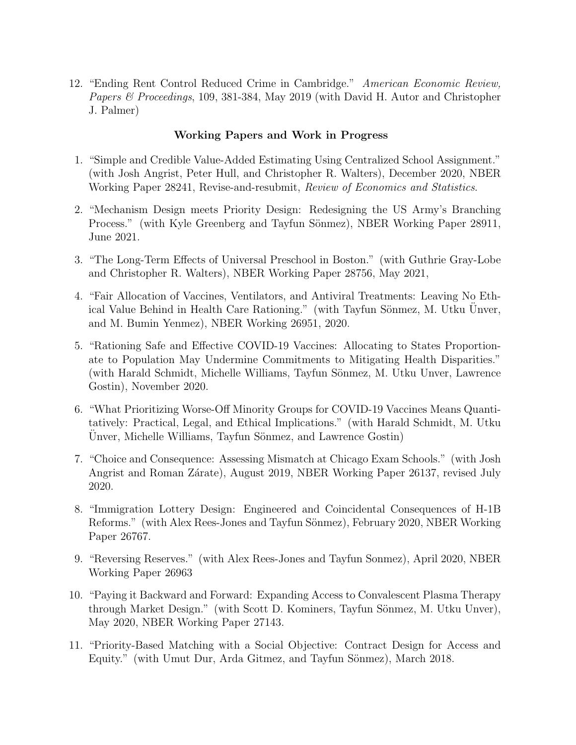12. "Ending Rent Control Reduced Crime in Cambridge." American Economic Review, Papers & Proceedings, 109, 381-384, May 2019 (with David H. Autor and Christopher J. Palmer)

# Working Papers and Work in Progress

- 1. "Simple and Credible Value-Added Estimating Using Centralized School Assignment." (with Josh Angrist, Peter Hull, and Christopher R. Walters), December 2020, NBER Working Paper 28241, Revise-and-resubmit, Review of Economics and Statistics.
- 2. "Mechanism Design meets Priority Design: Redesigning the US Army's Branching Process." (with Kyle Greenberg and Tayfun Sönmez), NBER Working Paper 28911, June 2021.
- 3. "The Long-Term Effects of Universal Preschool in Boston." (with Guthrie Gray-Lobe and Christopher R. Walters), NBER Working Paper 28756, May 2021,
- 4. "Fair Allocation of Vaccines, Ventilators, and Antiviral Treatments: Leaving No Ethical Value Behind in Health Care Rationing." (with Tayfun Sönmez, M. Utku Unver, and M. Bumin Yenmez), NBER Working 26951, 2020.
- 5. "Rationing Safe and Effective COVID-19 Vaccines: Allocating to States Proportionate to Population May Undermine Commitments to Mitigating Health Disparities." (with Harald Schmidt, Michelle Williams, Tayfun Sönmez, M. Utku Unver, Lawrence Gostin), November 2020.
- 6. "What Prioritizing Worse-Off Minority Groups for COVID-19 Vaccines Means Quantitatively: Practical, Legal, and Ethical Implications." (with Harald Schmidt, M. Utku Unver, Michelle Williams, Tayfun Sönmez, and Lawrence Gostin)
- 7. "Choice and Consequence: Assessing Mismatch at Chicago Exam Schools." (with Josh Angrist and Roman Zárate), August 2019, NBER Working Paper 26137, revised July 2020.
- 8. "Immigration Lottery Design: Engineered and Coincidental Consequences of H-1B Reforms." (with Alex Rees-Jones and Tayfun Sönmez), February 2020, NBER Working Paper 26767.
- 9. "Reversing Reserves." (with Alex Rees-Jones and Tayfun Sonmez), April 2020, NBER Working Paper 26963
- 10. "Paying it Backward and Forward: Expanding Access to Convalescent Plasma Therapy through Market Design." (with Scott D. Kominers, Tayfun Sönmez, M. Utku Unver), May 2020, NBER Working Paper 27143.
- 11. "Priority-Based Matching with a Social Objective: Contract Design for Access and Equity." (with Umut Dur, Arda Gitmez, and Tayfun Sönmez), March 2018.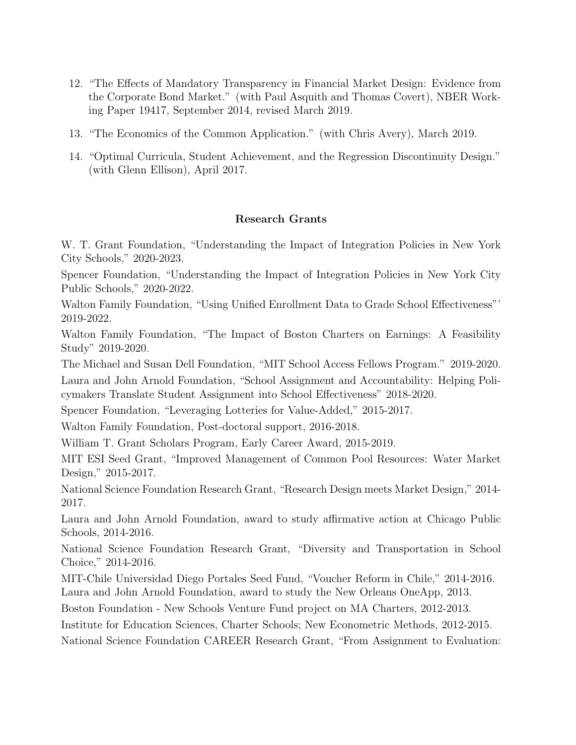- 12. "The Effects of Mandatory Transparency in Financial Market Design: Evidence from the Corporate Bond Market." (with Paul Asquith and Thomas Covert), NBER Working Paper 19417, September 2014, revised March 2019.
- 13. "The Economics of the Common Application." (with Chris Avery), March 2019.
- 14. "Optimal Curricula, Student Achievement, and the Regression Discontinuity Design." (with Glenn Ellison), April 2017.

# Research Grants

W. T. Grant Foundation, "Understanding the Impact of Integration Policies in New York City Schools," 2020-2023.

Spencer Foundation, "Understanding the Impact of Integration Policies in New York City Public Schools," 2020-2022.

Walton Family Foundation, "Using Unified Enrollment Data to Grade School Effectiveness"' 2019-2022.

Walton Family Foundation, "The Impact of Boston Charters on Earnings: A Feasibility Study" 2019-2020.

The Michael and Susan Dell Foundation, "MIT School Access Fellows Program." 2019-2020.

Laura and John Arnold Foundation, "School Assignment and Accountability: Helping Policymakers Translate Student Assignment into School Effectiveness" 2018-2020.

Spencer Foundation, "Leveraging Lotteries for Value-Added," 2015-2017.

Walton Family Foundation, Post-doctoral support, 2016-2018.

William T. Grant Scholars Program, Early Career Award, 2015-2019.

MIT ESI Seed Grant, "Improved Management of Common Pool Resources: Water Market Design," 2015-2017.

National Science Foundation Research Grant, "Research Design meets Market Design," 2014- 2017.

Laura and John Arnold Foundation, award to study affirmative action at Chicago Public Schools, 2014-2016.

National Science Foundation Research Grant, "Diversity and Transportation in School Choice," 2014-2016.

MIT-Chile Universidad Diego Portales Seed Fund, "Voucher Reform in Chile," 2014-2016. Laura and John Arnold Foundation, award to study the New Orleans OneApp, 2013.

Boston Foundation - New Schools Venture Fund project on MA Charters, 2012-2013.

Institute for Education Sciences, Charter Schools; New Econometric Methods, 2012-2015.

National Science Foundation CAREER Research Grant, "From Assignment to Evaluation: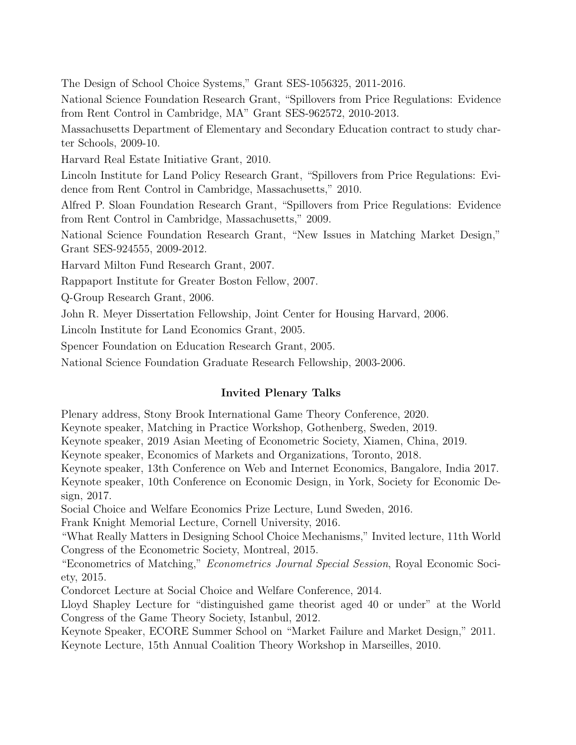The Design of School Choice Systems," Grant SES-1056325, 2011-2016.

National Science Foundation Research Grant, "Spillovers from Price Regulations: Evidence from Rent Control in Cambridge, MA" Grant SES-962572, 2010-2013.

Massachusetts Department of Elementary and Secondary Education contract to study charter Schools, 2009-10.

Harvard Real Estate Initiative Grant, 2010.

Lincoln Institute for Land Policy Research Grant, "Spillovers from Price Regulations: Evidence from Rent Control in Cambridge, Massachusetts," 2010.

Alfred P. Sloan Foundation Research Grant, "Spillovers from Price Regulations: Evidence from Rent Control in Cambridge, Massachusetts," 2009.

National Science Foundation Research Grant, "New Issues in Matching Market Design," Grant SES-924555, 2009-2012.

Harvard Milton Fund Research Grant, 2007.

Rappaport Institute for Greater Boston Fellow, 2007.

Q-Group Research Grant, 2006.

John R. Meyer Dissertation Fellowship, Joint Center for Housing Harvard, 2006.

Lincoln Institute for Land Economics Grant, 2005.

Spencer Foundation on Education Research Grant, 2005.

National Science Foundation Graduate Research Fellowship, 2003-2006.

# Invited Plenary Talks

Plenary address, Stony Brook International Game Theory Conference, 2020.

Keynote speaker, Matching in Practice Workshop, Gothenberg, Sweden, 2019.

Keynote speaker, 2019 Asian Meeting of Econometric Society, Xiamen, China, 2019.

Keynote speaker, Economics of Markets and Organizations, Toronto, 2018.

Keynote speaker, 13th Conference on Web and Internet Economics, Bangalore, India 2017.

Keynote speaker, 10th Conference on Economic Design, in York, Society for Economic Design, 2017.

Social Choice and Welfare Economics Prize Lecture, Lund Sweden, 2016.

Frank Knight Memorial Lecture, Cornell University, 2016.

"What Really Matters in Designing School Choice Mechanisms," Invited lecture, 11th World Congress of the Econometric Society, Montreal, 2015.

"Econometrics of Matching," Econometrics Journal Special Session, Royal Economic Society, 2015.

Condorcet Lecture at Social Choice and Welfare Conference, 2014.

Lloyd Shapley Lecture for "distinguished game theorist aged 40 or under" at the World Congress of the Game Theory Society, Istanbul, 2012.

Keynote Speaker, ECORE Summer School on "Market Failure and Market Design," 2011. Keynote Lecture, 15th Annual Coalition Theory Workshop in Marseilles, 2010.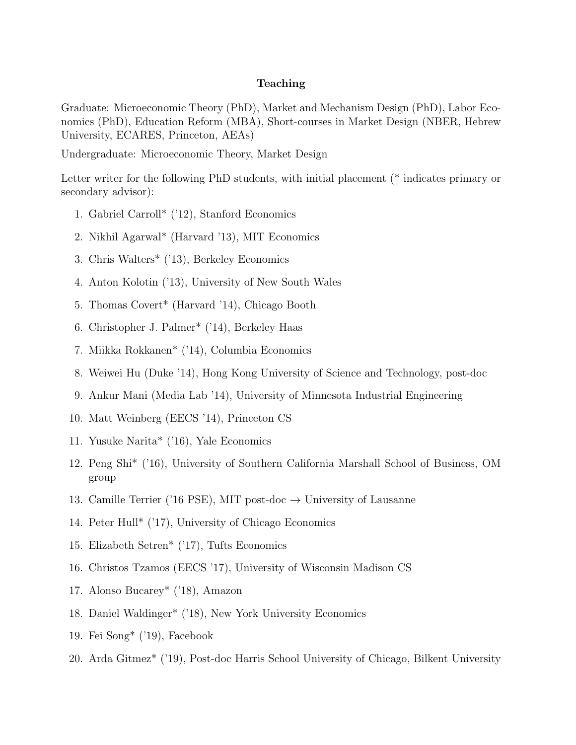### Teaching

Graduate: Microeconomic Theory (PhD), Market and Mechanism Design (PhD), Labor Economics (PhD), Education Reform (MBA), Short-courses in Market Design (NBER, Hebrew University, ECARES, Princeton, AEAs)

Undergraduate: Microeconomic Theory, Market Design

Letter writer for the following PhD students, with initial placement (\* indicates primary or secondary advisor):

- 1. Gabriel Carroll\* ('12), Stanford Economics
- 2. Nikhil Agarwal\* (Harvard '13), MIT Economics
- 3. Chris Walters\* ('13), Berkeley Economics
- 4. Anton Kolotin ('13), University of New South Wales
- 5. Thomas Covert\* (Harvard '14), Chicago Booth
- 6. Christopher J. Palmer\* ('14), Berkeley Haas
- 7. Miikka Rokkanen\* ('14), Columbia Economics
- 8. Weiwei Hu (Duke '14), Hong Kong University of Science and Technology, post-doc
- 9. Ankur Mani (Media Lab '14), University of Minnesota Industrial Engineering
- 10. Matt Weinberg (EECS '14), Princeton CS
- 11. Yusuke Narita\* ('16), Yale Economics
- 12. Peng Shi\* ('16), University of Southern California Marshall School of Business, OM group
- 13. Camille Terrier ('16 PSE), MIT post-doc  $\rightarrow$  University of Lausanne
- 14. Peter Hull\* ('17), University of Chicago Economics
- 15. Elizabeth Setren\* ('17), Tufts Economics
- 16. Christos Tzamos (EECS '17), University of Wisconsin Madison CS
- 17. Alonso Bucarey\* ('18), Amazon
- 18. Daniel Waldinger\* ('18), New York University Economics
- 19. Fei Song\* ('19), Facebook
- 20. Arda Gitmez\* ('19), Post-doc Harris School University of Chicago, Bilkent University